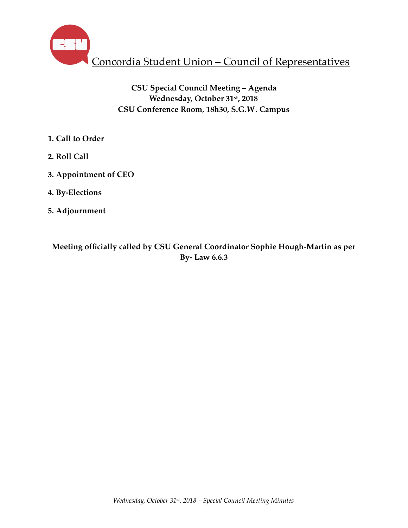

# **CSU Special Council Meeting – Agenda Wednesday, October 31st, 2018 CSU Conference Room, 18h30, S.G.W. Campus**

- **1. Call to Order**
- **2. Roll Call**
- **3. Appointment of CEO**
- **4. By-Elections**
- **5. Adjournment**

**Meeting officially called by CSU General Coordinator Sophie Hough-Martin as per By- Law 6.6.3**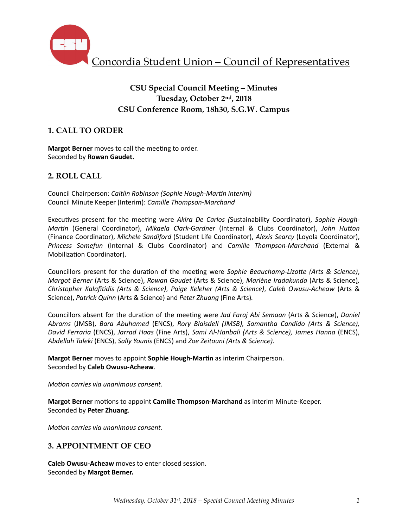

# **CSU Special Council Meeting – Minutes Tuesday, October 2nd, 2018 CSU Conference Room, 18h30, S.G.W. Campus**

# **1. CALL TO ORDER**

**Margot Berner** moves to call the meeting to order. Seconded by **Rowan Gaudet.** 

## **2. ROLL CALL**

Council Chairperson: *Caitlin Robinson (Sophie Hough-Martin interim)* Council Minute Keeper (Interim): *Camille Thompson-Marchand* 

Executives present for the meeting were *Akira De Carlos* (Sustainability Coordinator), Sophie Hough-*Martin* (General Coordinator), *Mikaela Clark-Gardner* (Internal & Clubs Coordinator), *John Hutton* (Finance Coordinator), *Michele Sandiford* (Student Life Coordinator), *Alexis Searcy* (Loyola Coordinator), *Princess Somefun*  (Internal & Clubs Coordinator) and *Camille Thompson-Marchand*  (External & Mobilization Coordinator).

Councillors present for the duration of the meeting were *Sophie Beauchamp-Lizotte (Arts & Science)*, *Margot Berner* (Arts & Science), *Rowan Gaudet* (Arts & Science), *Marlène Iradakunda* (Arts & Science), *Christopher Kalafi7dis (Arts & Science)*, *Paige Keleher (Arts & Science)*, *Caleb Owusu-Acheaw* (Arts & Science), *Patrick Quinn* (Arts & Science) and *Peter Zhuang* (Fine Arts).

Councillors absent for the duration of the meeting were *Jad Faraj Abi Semaan* (Arts & Science), *Daniel Abrams*  (JMSB), *Bara Abuhamed* (ENCS), *Rory Blaisdell (JMSB), Samantha Candido (Arts & Science), David Ferraria* (ENCS), *Jarrad Haas* (Fine Arts), *Sami Al-Hanbali (Arts & Science), James Hanna* (ENCS), *Abdellah Taleki* (ENCS), *Sally Younis* (ENCS) and *Zoe Zeitouni (Arts & Science)*. 

**Margot Berner** moves to appoint **Sophie Hough-Martin** as interim Chairperson. Seconded by **Caleb Owusu-Acheaw**. 

*Motion carries via unanimous consent.* 

**Margot Berner** motions to appoint **Camille Thompson-Marchand** as interim Minute-Keeper. Seconded by **Peter Zhuang**. 

*Motion carries via unanimous consent.* 

## **3. APPOINTMENT OF CEO**

**Caleb Owusu-Acheaw** moves to enter closed session. Seconded by Margot Berner.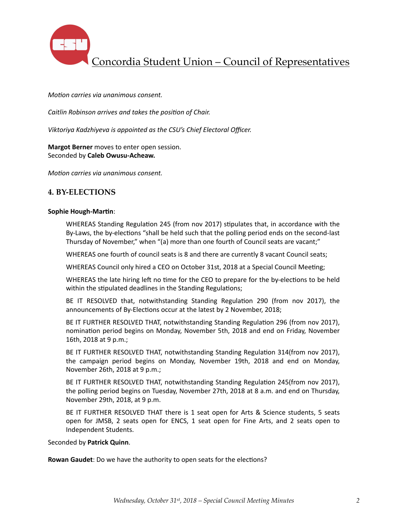

Concordia Student Union – Council of Representatives

#### *Motion carries via unanimous consent.*

*Caitlin Robinson arrives and takes the position of Chair.* 

*Viktoriya Kadzhiyeva is appointed as the CSU's Chief Electoral Officer.* 

**Margot Berner** moves to enter open session. Seconded by Caleb Owusu-Acheaw.

*Motion carries via unanimous consent.* 

#### **4. BY-ELECTIONS**

#### **Sophie Hough-Martin:**

WHEREAS Standing Regulation 245 (from nov 2017) stipulates that, in accordance with the By-Laws, the by-elections "shall be held such that the polling period ends on the second-last Thursday of November," when "(a) more than one fourth of Council seats are vacant;"

WHEREAS one fourth of council seats is 8 and there are currently 8 vacant Council seats;

WHEREAS Council only hired a CEO on October 31st, 2018 at a Special Council Meeting;

WHEREAS the late hiring left no time for the CEO to prepare for the by-elections to be held within the stipulated deadlines in the Standing Regulations;

BE IT RESOLVED that, notwithstanding Standing Regulation 290 (from nov 2017), the announcements of By-Elections occur at the latest by 2 November, 2018;

BE IT FURTHER RESOLVED THAT, notwithstanding Standing Regulation 296 (from nov 2017), nomination period begins on Monday, November 5th, 2018 and end on Friday, November 16th, 2018 at 9 p.m.;

BE IT FURTHER RESOLVED THAT, notwithstanding Standing Regulation 314(from nov 2017), the campaign period begins on Monday, November 19th, 2018 and end on Monday, November 26th, 2018 at 9 p.m.;

BE IT FURTHER RESOLVED THAT, notwithstanding Standing Regulation 245(from nov 2017), the polling period begins on Tuesday, November 27th, 2018 at 8 a.m. and end on Thursday, November 29th, 2018, at 9 p.m.

BE IT FURTHER RESOLVED THAT there is 1 seat open for Arts & Science students, 5 seats open for JMSB, 2 seats open for ENCS, 1 seat open for Fine Arts, and 2 seats open to Independent Students.

Seconded by Patrick Quinn.

**Rowan Gaudet:** Do we have the authority to open seats for the elections?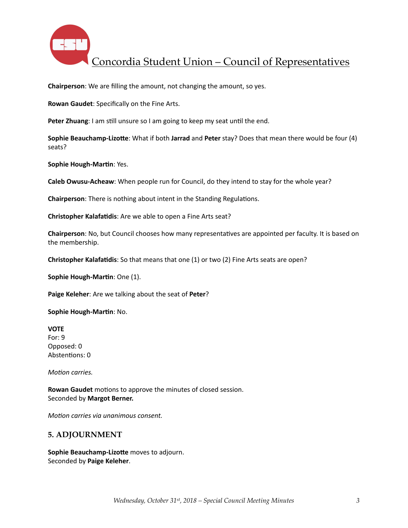

Concordia Student Union – Council of Representatives

**Chairperson**: We are filling the amount, not changing the amount, so yes.

**Rowan Gaudet:** Specifically on the Fine Arts.

**Peter Zhuang**: I am still unsure so I am going to keep my seat until the end.

**Sophie Beauchamp-Lizotte:** What if both Jarrad and Peter stay? Does that mean there would be four (4) seats? 

**Sophie Hough-Martin: Yes.** 

**Caleb Owusu-Acheaw**: When people run for Council, do they intend to stay for the whole year?

**Chairperson:** There is nothing about intent in the Standing Regulations.

**Christopher Kalafatidis:** Are we able to open a Fine Arts seat?

**Chairperson**: No, but Council chooses how many representatives are appointed per faculty. It is based on the membership.

**Christopher Kalafatidis**: So that means that one (1) or two (2) Fine Arts seats are open?

**Sophie Hough-Martin:** One (1).

**Paige Keleher:** Are we talking about the seat of **Peter**?

**Sophie Hough-Martin: No.** 

**VOTE**  For: 9 Opposed: 0 Abstentions: 0

*Motion carries.* 

**Rowan Gaudet** motions to approve the minutes of closed session. Seconded by **Margot Berner.** 

*Motion carries via unanimous consent.* 

#### **5. ADJOURNMENT**

**Sophie Beauchamp-Lizotte** moves to adjourn. Seconded by **Paige Keleher**.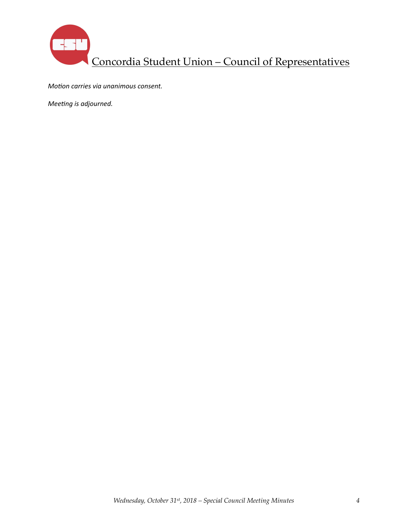

*Motion carries via unanimous consent.* 

*Meeting is adjourned.*